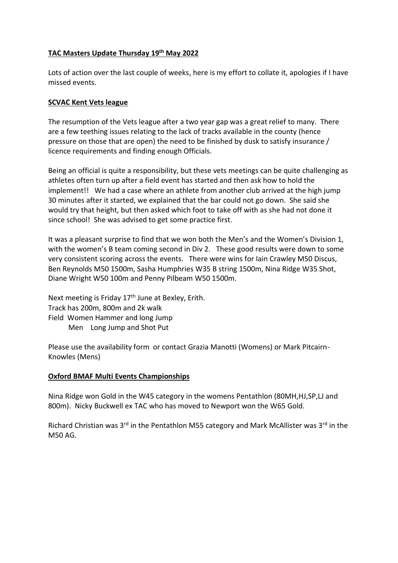# **TAC Masters Update Thursday 19th May 2022**

Lots of action over the last couple of weeks, here is my effort to collate it, apologies if I have missed events.

# **SCVAC Kent Vets league**

The resumption of the Vets league after a two year gap was a great relief to many. There are a few teething issues relating to the lack of tracks available in the county (hence pressure on those that are open) the need to be finished by dusk to satisfy insurance / licence requirements and finding enough Officials.

Being an official is quite a responsibility, but these vets meetings can be quite challenging as athletes often turn up after a field event has started and then ask how to hold the implement!! We had a case where an athlete from another club arrived at the high jump 30 minutes after it started, we explained that the bar could not go down. She said she would try that height, but then asked which foot to take off with as she had not done it since school! She was advised to get some practice first.

It was a pleasant surprise to find that we won both the Men's and the Women's Division 1, with the women's B team coming second in Div 2. These good results were down to some very consistent scoring across the events. There were wins for Iain Crawley M50 Discus, Ben Reynolds M50 1500m, Sasha Humphries W35 B string 1500m, Nina Ridge W35 Shot, Diane Wright W50 100m and Penny Pilbeam W50 1500m.

Next meeting is Friday 17<sup>th</sup> June at Bexley, Erith. Track has 200m, 800m and 2k walk Field Women Hammer and long Jump Men Long Jump and Shot Put

Please use the availability form or contact Grazia Manotti (Womens) or Mark Pitcairn-Knowles (Mens)

# **Oxford BMAF Multi Events Championships**

Nina Ridge won Gold in the W45 category in the womens Pentathlon (80MH,HJ,SP,LJ and 800m). Nicky Buckwell ex TAC who has moved to Newport won the W65 Gold.

Richard Christian was  $3<sup>rd</sup>$  in the Pentathlon M55 category and Mark McAllister was  $3<sup>rd</sup>$  in the M50 AG.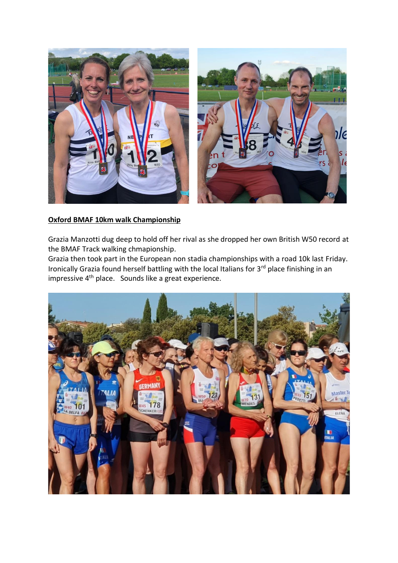

# **Oxford BMAF 10km walk Championship**

Grazia Manzotti dug deep to hold off her rival as she dropped her own British W50 record at the BMAF Track walking chmapionship.

Grazia then took part in the European non stadia championships with a road 10k last Friday. Ironically Grazia found herself battling with the local Italians for 3<sup>rd</sup> place finishing in an impressive 4th place. Sounds like a great experience.

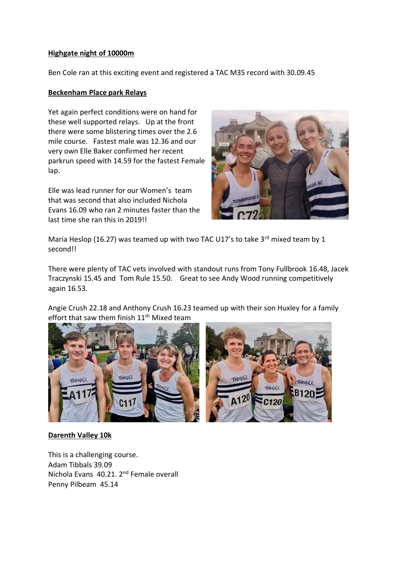# **Highgate night of 10000m**

Ben Cole ran at this exciting event and registered a TAC M35 record with 30.09.45

# **Beckenham Place park Relays**

Yet again perfect conditions were on hand for these well supported relays. Up at the front there were some blistering times over the 2.6 mile course. Fastest male was 12.36 and our very own Elle Baker confirmed her recent parkrun speed with 14.59 for the fastest Female lap.

Elle was lead runner for our Women's team that was second that also included Nichola Evans 16.09 who ran 2 minutes faster than the last time she ran this in 2019!!



Maria Heslop (16.27) was teamed up with two TAC U17's to take 3<sup>rd</sup> mixed team by 1 second!!

There were plenty of TAC vets involved with standout runs from Tony Fullbrook 16.48, Jacek Traczynski 15.45 and Tom Rule 15.50. Great to see Andy Wood running competitively again 16.53.

Angie Crush 22.18 and Anthony Crush 16.23 teamed up with their son Huxley for a family effort that saw them finish 11<sup>th</sup> Mixed team



# **Darenth Valley 10k**

This is a challenging course. Adam Tibbals 39.09 Nichola Evans 40.21. 2nd Female overall Penny Pilbeam 45.14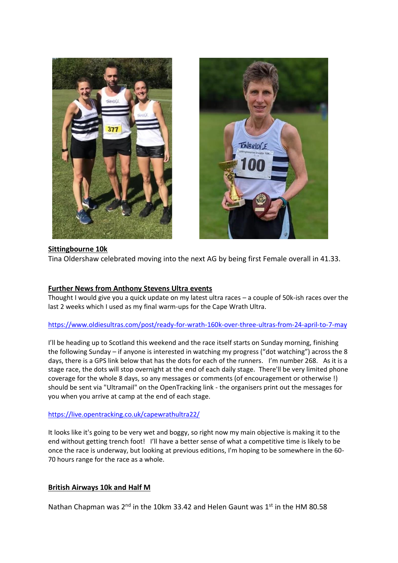



#### **Sittingbourne 10k**

Tina Oldershaw celebrated moving into the next AG by being first Female overall in 41.33.

# **Further News from Anthony Stevens Ultra events**

Thought I would give you a quick update on my latest ultra races – a couple of 50k-ish races over the last 2 weeks which I used as my final warm-ups for the Cape Wrath Ultra.

# <https://www.oldiesultras.com/post/ready-for-wrath-160k-over-three-ultras-from-24-april-to-7-may>

I'll be heading up to Scotland this weekend and the race itself starts on Sunday morning, finishing the following Sunday – if anyone is interested in watching my progress ("dot watching") across the 8 days, there is a GPS link below that has the dots for each of the runners. I'm number 268. As it is a stage race, the dots will stop overnight at the end of each daily stage. There'll be very limited phone coverage for the whole 8 days, so any messages or comments (of encouragement or otherwise !) should be sent via "Ultramail" on the OpenTracking link - the organisers print out the messages for you when you arrive at camp at the end of each stage.

#### <https://live.opentracking.co.uk/capewrathultra22/>

It looks like it's going to be very wet and boggy, so right now my main objective is making it to the end without getting trench foot! I'll have a better sense of what a competitive time is likely to be once the race is underway, but looking at previous editions, I'm hoping to be somewhere in the 60- 70 hours range for the race as a whole.

# **British Airways 10k and Half M**

Nathan Chapman was  $2^{nd}$  in the 10km 33.42 and Helen Gaunt was  $1^{st}$  in the HM 80.58